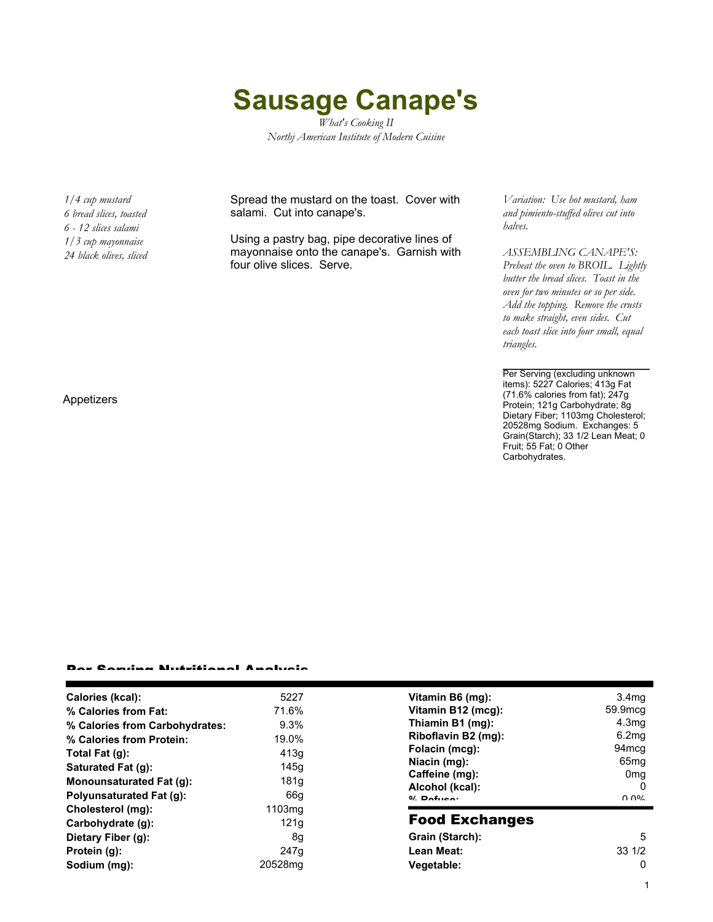## **Sausage Canape's**

*What's Cooking II Northj American Institute of Modern Cuisine*

*1/4 cup mustard 6 bread slices, toasted 6 - 12 slices salami 1/3 cup mayonnaise 24 black olives, sliced*

Spread the mustard on the toast. Cover with salami. Cut into canape's.

Using a pastry bag, pipe decorative lines of mayonnaise onto the canape's. Garnish with four olive slices. Serve.

*Variation: Use hot mustard, ham and pimiento-stuffed olives cut into halves.*

*ASSEMBLING CANAPE'S: Preheat the oven to BROIL. Lightly butter the bread slices. Toast in the oven for two minutes or so per side. Add the topping. Remove the crusts to make straight, even sides. Cut each toast slice into four small, equal triangles.*

Per Serving (excluding unknown items): 5227 Calories; 413g Fat (71.6% calories from fat); 247g Protein; 121g Carbohydrate; 8g Dietary Fiber; 1103mg Cholesterol; 20528mg Sodium. Exchanges: 5 Grain(Starch); 33 1/2 Lean Meat; 0 Fruit; 55 Fat; 0 Other Carbohydrates.

Appetizers

## Per Serving Nutritional Analysis

| Calories (kcal):               | 5227               | Vit       |
|--------------------------------|--------------------|-----------|
| % Calories from Fat:           | 71.6%              | Vit       |
| % Calories from Carbohydrates: | 9.3%               | Th        |
| % Calories from Protein:       | 19.0%              | Ril       |
| Total Fat (g):                 | 413q               | Fo        |
| Saturated Fat (q):             | 145q               | Nia       |
| Monounsaturated Fat (g):       | 181q               | Cа<br>Ald |
| Polyunsaturated Fat (g):       | 66q                | 0/2       |
| Cholesterol (mg):              | 1103 <sub>mq</sub> |           |
| Carbohydrate (g):              | 121 <sub>g</sub>   | Fo        |
| Dietary Fiber (g):             | 8q                 | Gr        |
| Protein (g):                   | 247q               | Le        |
| Sodium (mg):                   | 20528mg            | Ve        |
|                                |                    |           |

| Vitamin B6 (mg):<br>Vitamin B12 (mcg):<br>Thiamin B1 (mg):<br>Riboflavin B2 (mg):<br>Folacin (mcg):<br>Niacin (mg):<br>Caffeine (mg):<br>Alcohol (kcal):<br>$0/$ Dofuso: | 3.4 <sub>mg</sub><br>59.9mcg<br>4.3 <sub>mq</sub><br>6.2mg<br>94 <sub>mcq</sub><br>65 <sub>mq</sub><br>0mq<br>በ በ% |  |  |
|--------------------------------------------------------------------------------------------------------------------------------------------------------------------------|--------------------------------------------------------------------------------------------------------------------|--|--|
| <b>Food Exchanges</b><br>Grain (Starch):<br>5<br>33 1/2<br>Lean Meat:<br>Vegetable:                                                                                      |                                                                                                                    |  |  |